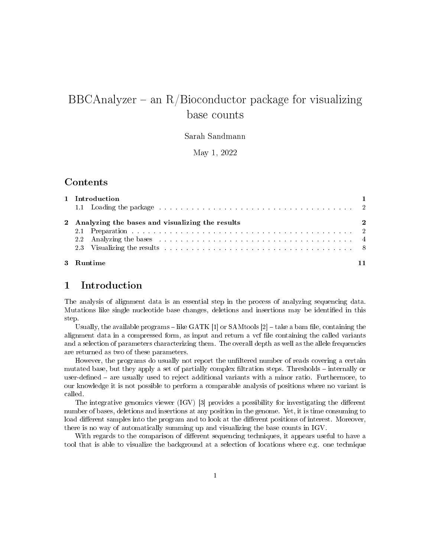# BBCAnalyzer – an  $R/Bi$ oconductor package for visualizing base counts

#### Sarah Sandmann

May 1, 2022

### Contents

| 1 Introduction<br>1.1 Loading the package entrance entertainment of the contract of the contract of the contract of the contract of the contract of the contract of the contract of the contract of the contract of the contract of the contract                                                                                                                                                                                                                                                                                  |  |
|-----------------------------------------------------------------------------------------------------------------------------------------------------------------------------------------------------------------------------------------------------------------------------------------------------------------------------------------------------------------------------------------------------------------------------------------------------------------------------------------------------------------------------------|--|
| 2 Analyzing the bases and visualizing the results<br>$\sim$ 2<br>2.2 Analyzing the bases entering the state of the state of the state of the state of the state of the state of the state of the state of the state of the state of the state of the state of the state of the state of the sta<br>2.3 Visualizing the results end of the contract of the contract of the results of the contract of the contract of the contract of the contract of the contract of the contract of the contract of the contract of the contract |  |
| 3 Runtime                                                                                                                                                                                                                                                                                                                                                                                                                                                                                                                         |  |

### 1 Introduction

The analysis of alignment data is an essential step in the process of analyzing sequencing data. Mutations like single nucleotide base changes, deletions and insertions may be identified in this step.

Usually, the available programs  $-\text{like GATK}$  [1] or SAMtools [2]  $-\text{take a beam file}$ , containing the alignment data in a compressed form, as input and return a vcf file containing the called variants and a selection of parameters characterizing them. The overall depth as well as the allele frequencies are returned as two of these parameters.

However, the programs do usually not report the unfiltered number of reads covering a certain mutated base, but they apply a set of partially complex filtration steps. Thresholds – internally or user-defined – are usually used to reject additional variants with a minor ratio. Furthermore, to our knowledge it is not possible to perform a comparable analysis of positions where no variant is called.

The integrative genomics viewer  $(IGV)$  [3] provides a possibility for investigating the different number of bases, deletions and insertions at any position in the genome. Yet, it is time consuming to load different samples into the program and to look at the different positions of interest. Moreover, there is no way of automatically summing up and visualizing the base counts in IGV.

With regards to the comparison of different sequencing techniques, it appears useful to have a tool that is able to visualize the background at a selection of locations where e.g. one technique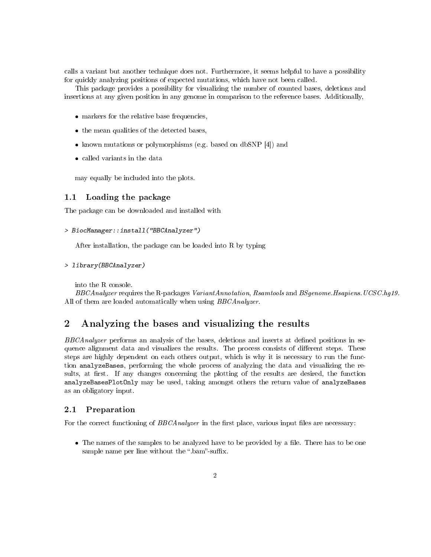calls a variant but another technique does not. Furthermore, it seems helpful to have a possibility for quickly analyzing positions of expected mutations, which have not been called.

This package provides a possibility for visualizing the number of counted bases, deletions and insertions at any given position in any genome in comparison to the reference bases. Additionally,

- markers for the relative base frequencies,
- the mean qualities of the detected bases,
- known mutations or polymorphisms (e.g. based on dbSNP [4]) and
- called variants in the data

may equally be included into the plots.

#### 1.1 Loading the package

The package can be downloaded and installed with

```
> BiocManager::install("BBCAnalyzer")
```
After installation, the package can be loaded into R by typing

```
> library(BBCAnalyzer)
```
into the R console.

BBCAnalyzer requires the R-packages VariantAnnotation, Rsamtools and BSgenome.Hsapiens.UCSC.hg19. All of them are loaded automatically when using BBCAnalyzer.

# 2 Analyzing the bases and visualizing the results

BBCAnalyzer performs an analysis of the bases, deletions and inserts at defined positions in sequence alignment data and visualizes the results. The process consists of different steps. These steps are highly dependent on each others output, which is why it is necessary to run the function analyzeBases, performing the whole process of analyzing the data and visualizing the results, at first. If any changes concerning the plotting of the results are desired, the function analyzeBasesPlotOnly may be used, taking amongst others the return value of analyzeBases as an obligatory input.

#### 2.1 Preparation

For the correct functioning of  $BBCAnalyzer$  in the first place, various input files are necessary:

• The names of the samples to be analyzed have to be provided by a file. There has to be one sample name per line without the "bam"-suffix.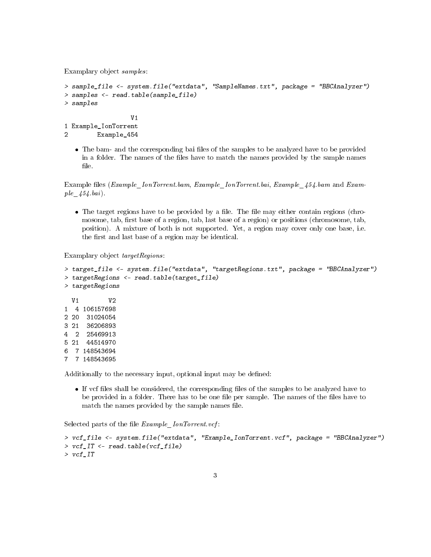Examplary object samples:

```
> sample_file <- system.file("extdata", "SampleNames.txt", package = "BBCAnalyzer")
> samples <- read.table(sample_file)
> samples
                 V1
1 Example_IonTorrent
2 Example_454
```
• The bam- and the corresponding bai files of the samples to be analyzed have to be provided in a folder. The names of the files have to match the names provided by the sample names file.

Example files (Example IonTorrent.bam, Example IonTorrent.bai, Example  $454.$ bam and Example  $454.$ bai).

• The target regions have to be provided by a file. The file may either contain regions (chromosome, tab, first base of a region, tab, last base of a region) or positions (chromosome, tab, position). A mixture of both is not supported. Yet, a region may cover only one base, i.e. the first and last base of a region may be identical.

Examplary object targetRegions:

```
> target_file <- system.file("extdata", "targetRegions.txt", package = "BBCAnalyzer")
> targetRegions <- read.table(target_file)
> targetRegions
 V1 V2
1 4 106157698
2 20 31024054
3 21 36206893
4 2 25469913
5 21 44514970
6 7 148543694
7 7 148543695
```
Additionally to the necessary input, optional input may be defined:

If vcf files shall be considered, the corresponding files of the samples to be analyzed have to be provided in a folder. There has to be one file per sample. The names of the files have to match the names provided by the sample names file.

Selected parts of the file  $Example$   $IonTorrent.vcf.$ 

```
> vcf_file <- system.file("extdata", "Example_IonTorrent.vcf", package = "BBCAnalyzer")
> vcf_IT <- read.table(vcf_file)
> vcf_IT
```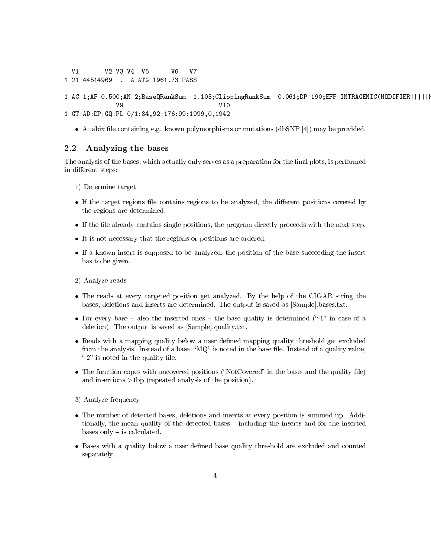V1 V2 V3 V4 V5 V6 V7 1 21 44514969 . A ATG 1961.73 PASS

- 1 AC=1;AF=0.500;AN=2;BaseQRankSum=-1.103;ClippingRankSum=-0.061;DP=190;EFF=INTRAGENIC(MODIFIER||||| V9 V10 1 GT:AD:DP:GQ:PL 0/1:84,92:176:99:1999,0,1942
	- A tabix file containing e.g. known polymorphisms or mutations (dbSNP [4]) may be provided.

#### 2.2 Analyzing the bases

The analysis of the bases, which actually only serves as a preparation for the final plots, is performed in different steps:

- 1) Determine target
- If the target regions file contains regions to be analyzed, the different positions covered by the regions are determined.
- $\bullet$  If the file already contains single positions, the program directly proceeds with the next step.
- It is not necessary that the regions or positions are ordered.
- If a known insert is supposed to be analyzed, the position of the base succeeding the insert has to be given.
- 2) Analyze reads
- The reads at every targeted position get analyzed. By the help of the CIGAR string the bases, deletions and inserts are determined. The output is saved as [Sample].bases.txt.
- For every base  $-$  also the inserted ones  $-$  the base quality is determined ("-1" in case of a deletion). The output is saved as [Sample].quality.txt.
- Reads with a mapping quality below a user defined mapping quality threshold get excluded from the analysis. Instead of a base, " $MQ$ " is noted in the base file. Instead of a quality value, "-2" is noted in the quality file.
- The function copes with uncovered positions ("NotCovered" in the base- and the quality file) and insertions >1bp (repeated analysis of the position).
- 3) Analyze frequency
- The number of detected bases, deletions and inserts at every position is summed up. Additionally, the mean quality of the detected bases including the inserts and for the inserted bases only  $-$  is calculated.
- . Bases with a quality below a user defined base quality threshold are excluded and counted separately.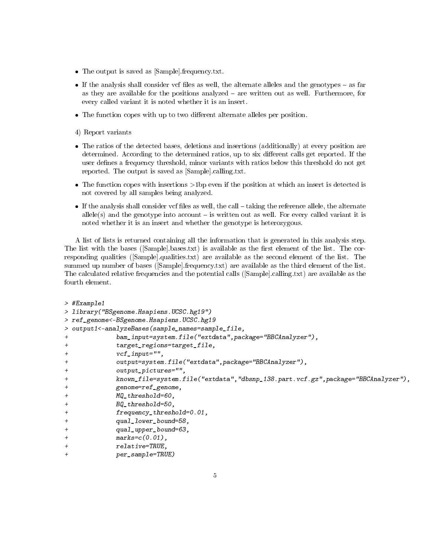- The output is saved as [Sample].frequency.txt.
- $\bullet$  If the analysis shall consider vcf files as well, the alternate alleles and the genotypes as far as they are available for the positions analyzed  $-$  are written out as well. Furthermore, for every called variant it is noted whether it is an insert.
- The function copes with up to two different alternate alleles per position.

4) Report variants

- The ratios of the detected bases, deletions and insertions (additionally) at every position are determined. According to the determined ratios, up to six different calls get reported. If the user defines a frequency threshold, minor variants with ratios below this threshold do not get reported. The output is saved as [Sample].calling.txt.
- The function copes with insertions >1bp even if the position at which an insert is detected is not covered by all samples being analyzed.
- $\bullet$  If the analysis shall consider vcf files as well, the call  $-$  taking the reference allele, the alternate allele(s) and the genotype into account  $-$  is written out as well. For every called variant it is noted whether it is an insert and whether the genotype is heterozygous.

A list of lists is returned containing all the information that is generated in this analysis step. The list with the bases ( $[\text{Sample}]\text{bases.txt}$ ) is available as the first element of the list. The corresponding qualities ([Sample].qualities.txt) are available as the second element of the list. The summed up number of bases ([Sample].frequency.txt) are available as the third element of the list. The calculated relative frequencies and the potential calls ([Sample].calling.txt) are available as the fourth element.

```
> #Example1
> library("BSgenome.Hsapiens.UCSC.hg19")
> ref_genome<-BSgenome.Hsapiens.UCSC.hg19
> output1<-analyzeBases(sample_names=sample_file,
             + bam_input=system.file("extdata",package="BBCAnalyzer"),
+ target_regions=target_file,
+ vcf_input="",
             output=system.file("extdata",package="BBCAnalyzer"),
             output_pictures="",
             + known_file=system.file("extdata","dbsnp_138.part.vcf.gz",package="BBCAnalyzer"),
             + genome=ref_genome,
             MQ threshold=60,
+ BQ_threshold=50,
+ frequency_threshold=0.01,
             qual_lower_bound=58,
             qual_upper_bound=63,
             marks=c(0.01),
             relative=TRUE,
             per\_sample=TRUE)
```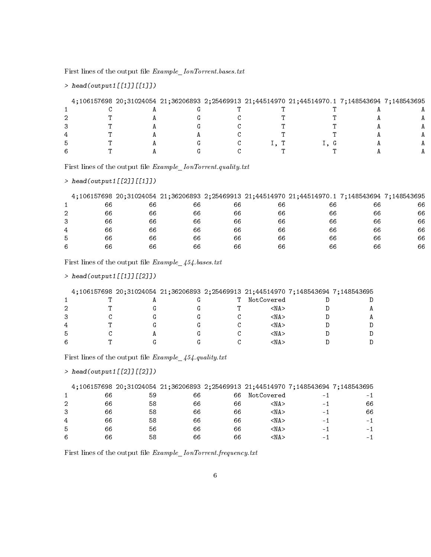First lines of the output file  $Example\_IonTorrent.bases.txt$ 

```
> head(output1[[1]][[1]])
```

|  |  |  | 4;106157698 20;31024054 21;36206893 2;25469913 21;44514970 21;44514970.1 7;148543694 7;148543695 |  |
|--|--|--|--------------------------------------------------------------------------------------------------|--|
|  |  |  |                                                                                                  |  |
|  |  |  |                                                                                                  |  |
|  |  |  |                                                                                                  |  |
|  |  |  |                                                                                                  |  |
|  |  |  |                                                                                                  |  |
|  |  |  |                                                                                                  |  |

First lines of the output file  $Example\_IonTorrent. quality.txt$ 

```
> head(output1[[2]][[1]])
```

|   |    |    |    |    |    | 4;106157698 20;31024054 21;36206893 2;25469913 21;44514970 21;44514970.1 7;148543694 7;148543695 |    |    |
|---|----|----|----|----|----|--------------------------------------------------------------------------------------------------|----|----|
|   | 66 | 66 | 66 | 66 | 66 | 66                                                                                               | 66 | 66 |
| 2 | 66 | 66 | 66 | 66 | 66 | 66                                                                                               | 66 | 66 |
| 3 | 66 | 66 | 66 | 66 | 66 | 66                                                                                               | 66 | 66 |
| 4 | 66 | 66 | 66 | 66 | 66 | 66                                                                                               | 66 | 66 |
| 5 | 66 | 66 | 66 | 66 | 66 | 66                                                                                               | 66 | 66 |
| 6 | 66 | 66 | 66 | 66 | 66 | 66                                                                                               | 66 | 66 |

First lines of the output file  $Example \_454. bases.txt$ 

```
> head(output1[[1]][[2]])
```

|   |  | 4:106157698 20:31024054 21:36206893 2:25469913 21:44514970 7:148543694 7:148543695 |            |  |
|---|--|------------------------------------------------------------------------------------|------------|--|
|   |  |                                                                                    | NotCovered |  |
|   |  |                                                                                    | <na></na>  |  |
|   |  |                                                                                    | <na></na>  |  |
|   |  |                                                                                    | <na></na>  |  |
| b |  |                                                                                    | <na></na>  |  |
|   |  |                                                                                    | <na></na>  |  |

First lines of the output file  $\emph{Example}\_\,454.\textit{quality.txt}$ 

```
> head(output1[[2]][[2]])
```

|                |    |    | 4:106157698 20:31024054 21:36206893 2:25469913 21:44514970 7:148543694 7:148543695 |    |            |                          |      |
|----------------|----|----|------------------------------------------------------------------------------------|----|------------|--------------------------|------|
|                | 66 | 59 | 66                                                                                 | 66 | NotCovered | $\overline{\phantom{a}}$ |      |
| 2              | 66 | 58 | 66                                                                                 | 66 | <na></na>  | $\sim$                   | 66   |
| 3              | 66 | 58 | 66                                                                                 | 66 | <na></na>  | $\sim$                   | 66   |
| $\overline{4}$ | 66 | 58 | 66                                                                                 | 66 | <na></na>  | $\sim$                   | $-1$ |
| 5              | 66 | 56 | 66                                                                                 | 66 | <na></na>  | - 1                      | - 1  |
| 6              | 66 | 58 | 66                                                                                 | 66 | <na></na>  | $\sim$                   | $-1$ |

First lines of the output file  $Example\_IonTorrent{}. frequency.txt$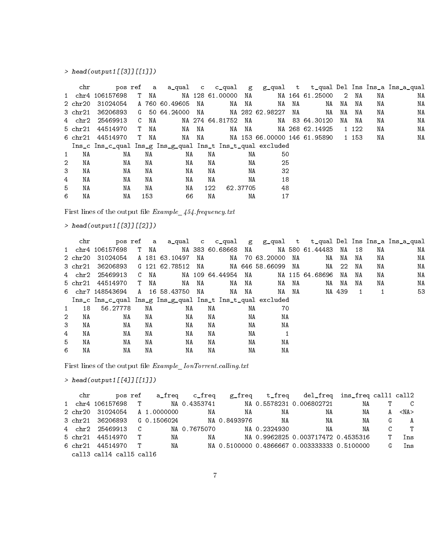# $>$  head(output1[[3]][[1]])

|                | chr     |                                                             |      |      |                |       |                    |    |          |                 |    |                              |    |         |    | pos ref a a_qual c c_qual g g_qual t t_qual Del Ins Ins_a Ins_a_qual |
|----------------|---------|-------------------------------------------------------------|------|------|----------------|-------|--------------------|----|----------|-----------------|----|------------------------------|----|---------|----|----------------------------------------------------------------------|
|                |         | 1 chr4 106157698                                            | T NA |      |                |       | NA 128 61.00000 NA |    |          |                 |    | NA 164 61.25000              | 2  | NA      | ΝA | ΝA                                                                   |
|                |         | 2 chr20 31024054                                            |      |      | A 760 60.49605 | NA    |                    | NA | NA       | NA              | NA | NA                           | NA | NA      | ΝA | ΝA                                                                   |
|                | 3 chr21 | 36206893                                                    |      |      | G 50 64.24000  | NA    |                    |    |          | NA 282 62.98227 | NA | NA                           | NA | NA      | ΝA | ΝA                                                                   |
|                |         | 4 chr2 25469913                                             |      | C NA |                |       | NA 274 64.81752    |    | NA       |                 |    | NA 83 64.30120               | NA | NA      | ΝA | ΝA                                                                   |
|                | 5 chr21 | 44514970                                                    | T NA |      | NA             | NA    |                    |    | NA NA    |                 |    | NA 268 62.14925              |    | 1 1 2 2 | ΝA | ΝA                                                                   |
|                |         | 6 chr21 44514970                                            | T NA |      |                | NA NA |                    |    |          |                 |    | NA 153 66.00000 146 61.95890 |    | 1 153   | NA | ΝA                                                                   |
|                |         | Ins_c Ins_c_qual Ins_g Ins_g_qual Ins_t Ins_t_qual excluded |      |      |                |       |                    |    |          |                 |    |                              |    |         |    |                                                                      |
| 1              | NA      | NA                                                          |      | NA   | NA             |       | NA                 |    | NA       | 50              |    |                              |    |         |    |                                                                      |
| $\overline{2}$ | NA      | NA                                                          |      | NA   | NA             |       | NA                 |    | NA       | 25              |    |                              |    |         |    |                                                                      |
| 3              | NA      | NA                                                          |      | NA   | NA             |       | NA                 |    | NA       | 32              |    |                              |    |         |    |                                                                      |
| 4              | NA      | NA                                                          |      | NA   | NA             |       | NA                 |    | NA       | 18              |    |                              |    |         |    |                                                                      |
| 5              | NA      | ΝA                                                          |      | NA   | NA             |       | 122                |    | 62.37705 | 48              |    |                              |    |         |    |                                                                      |
| 6              | NA      | ΝA                                                          |      | 153  | 66             |       | ΝA                 |    | ΝA       | 17              |    |                              |    |         |    |                                                                      |

First lines of the output file  $Example\_454.frequency.txt$ 

# $>$  head(output1[[3]][[2]])

|                | chr     |                                                             |      |                   |    |    |                    |    |                 |    |                 |        |     |    | pos ref a a_qual c c_qual g g_qual t t_qual Del Ins Ins_a Ins_a_qual |
|----------------|---------|-------------------------------------------------------------|------|-------------------|----|----|--------------------|----|-----------------|----|-----------------|--------|-----|----|----------------------------------------------------------------------|
|                |         | 1 chr4 106157698                                            | T NA |                   |    |    | NA 383 60.68668 NA |    |                 |    | NA 580 61.44483 | NA     | -18 | NA | ΝA                                                                   |
|                |         | 2 chr20 31024054                                            |      | A 181 63.10497    | NA |    |                    |    | NA 70 63.20000  | NA | NA              | NA     | NA  | NA | ΝA                                                                   |
|                |         | 3 chr21 36206893                                            |      | G 121 62.78512 NA |    |    |                    |    | NA 646 58.66099 | NA | NA              | -22    | NA  | NA | ΝA                                                                   |
|                |         | 4 chr2 25469913                                             | C NA |                   |    |    | NA 109 64.44954 NA |    |                 |    | NA 115 64.68696 | NA     | NA  | NA | NA                                                                   |
|                | 5 chr21 | 44514970                                                    | T NA | NA                | NA |    | NA                 | NA | NA              | NA | NA              | NA     | ΝA  | NA | NA                                                                   |
|                |         | 6 chr7 148543694                                            |      | A 1658.43750      | NA |    | NA                 | NA | NA              | NA |                 | NA 439 | 1   | -1 | 53                                                                   |
|                |         | Ins_c Ins_c_qual Ins_g Ins_g_qual Ins_t Ins_t_qual excluded |      |                   |    |    |                    |    |                 |    |                 |        |     |    |                                                                      |
| 1              | 18      | 56.27778                                                    | NA   | ΝA                |    | ΝA |                    | NA | 70              |    |                 |        |     |    |                                                                      |
| $\overline{2}$ | NA      | ΝA                                                          | NA   | NA                |    | NA |                    | NA | NA              |    |                 |        |     |    |                                                                      |
| 3              | NA      | NA                                                          | NA   | ΝA                |    | NA |                    | NA | NA              |    |                 |        |     |    |                                                                      |
| 4              | NA      | ΝA                                                          | NA   | ΝA                |    | NA |                    | NA |                 |    |                 |        |     |    |                                                                      |
| 5              | NA      | ΝA                                                          | NA   | ΝA                |    | NA |                    | NA | ΝA              |    |                 |        |     |    |                                                                      |
| 6              | NA      | NA                                                          | ΝA   | NA                |    | ΝA |                    | ΝA | NA              |    |                 |        |     |    |                                                                      |

First lines of the output file  $\emph{Example\_IonTorrent.} calling.txt$ 

```
> head(output1[[4]][[1]])
```

| ${\rm chr}$ |                                              |      | pos ref a_freq c_freq |    |                           | g_freq t_freq del_freq ins_freq call1 call2              |          |    |            |
|-------------|----------------------------------------------|------|-----------------------|----|---------------------------|----------------------------------------------------------|----------|----|------------|
|             |                                              |      |                       |    |                           | 1 chr4 106157698 T MA 0.4353741 MA 0.5578231 0.006802721 | NA 1999. |    | -C         |
|             | 2 chr20 31024054 A 1.0000000                 |      | NA                    | NA | NA                        | NA                                                       | NA       | A  | $<$ NA $>$ |
|             | 3 chr21 36206893 G 0.1506024 MA 0.8493976 MA |      |                       |    |                           | NA                                                       | NA       | G  | A          |
|             | 4 chr2 25469913 C                            |      |                       |    | NA 0.7675070 NA 0.2324930 | NA                                                       | ΝA       | C. | ா          |
|             | 5 chr21 44514970 T                           | NA   | NA                    |    |                           | NA 0.9962825 0.003717472 0.4535316                       |          | T. | Ins        |
|             | 6 chr21 44514970 T                           | NA 1 |                       |    |                           | NA 0.5100000 0.4866667 0.003333333 0.5100000             |          | G  | Ins        |
|             | call3 call4 call5 call6                      |      |                       |    |                           |                                                          |          |    |            |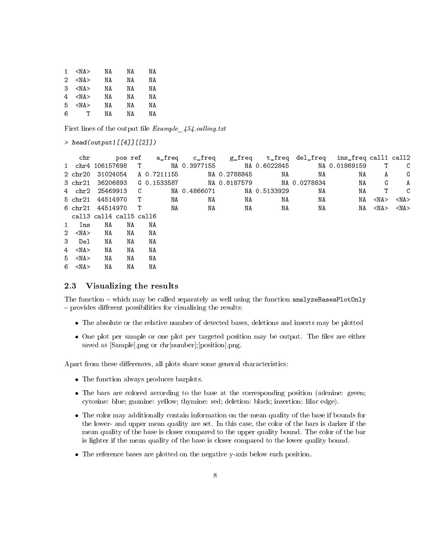| 1 | <na></na>  | NΑ | ΝA | NΑ |
|---|------------|----|----|----|
| 2 | <na></na>  | ΝA | ΝA | ΝA |
| З | <na></na>  | ΝA | ΝA | ΝA |
| 4 | <na></na>  | ΝA | ΝA | ΝA |
| 5 | $<$ NA $>$ | NΑ | NΑ | ΝA |
| 6 | т          | ΝA | ΝA | NΑ |
|   |            |    |    |    |

First lines of the output file  $Example \,454$ .calling.txt

```
> head(output1[[4]][[2]])
```

| chr                     |                         |    |                      |              |              |                                                |    | pos ref a_freq c_freq g_freq t_freq del_freq ins_freq call1 call2 |              |            |
|-------------------------|-------------------------|----|----------------------|--------------|--------------|------------------------------------------------|----|-------------------------------------------------------------------|--------------|------------|
|                         |                         |    |                      |              |              | 1 chr4 106157698 T NA 0.3977155 NA 0.6022845   |    | NA 0.01869159                                                     | $\mathbf{T}$ | C          |
| 2 chr20                 |                         |    | 31024054 A 0.7211155 |              | NA 0.2788845 | NA                                             | NA | NA                                                                | A            | G          |
| 3 chr21                 |                         |    |                      |              |              | 36206893 G 0.1533587 MA 0.8187579 MA 0.0278834 |    | NA                                                                | G            | A          |
|                         | 4 chr2 25469913 C       |    |                      | NA 0.4866071 |              | NA 0.5133929                                   | NA | NA                                                                | $\mathbf{T}$ | C          |
|                         | 5 chr21 44514970 T      |    | NA                   | NA           | NA           | NA                                             | NA | NA                                                                | $<$ NA $>$   | $<$ NA $>$ |
|                         | 6 chr21 44514970 T      |    | NA                   | NA           | NA           | NA                                             | NA | NA                                                                | $<$ NA $>$   | <na></na>  |
|                         | call3 call4 call5 call6 |    |                      |              |              |                                                |    |                                                                   |              |            |
| 1 Ins                   | NA                      | NA | NA                   |              |              |                                                |    |                                                                   |              |            |
| $2 \langle N_A \rangle$ | NA                      | NA | ΝA                   |              |              |                                                |    |                                                                   |              |            |
| 3 Del                   | NA                      | NA | NA                   |              |              |                                                |    |                                                                   |              |            |
| $4 \leq N$ A>           | NA                      | NA | ΝA                   |              |              |                                                |    |                                                                   |              |            |
| $5 \leq N_A$            | NA                      | ΝA | NA                   |              |              |                                                |    |                                                                   |              |            |
| $6 \leq N_A$            | NA                      | ΝA | NA                   |              |              |                                                |    |                                                                   |              |            |

#### 2.3 Visualizing the results

The function – which may be called separately as well using the function analyzeBasesPlotOnly  $-$  provides different possibilities for visualizing the results:

- The absolute or the relative number of detected bases, deletions and inserts may be plotted
- One plot per sample or one plot per targeted position may be output. The files are either saved as [Sample].png or chr[number];[position].png.

Apart from these differences, all plots share some general characteristics:

- The function always produces barplots.
- The bars are colored according to the base at the corresponding position (adenine: green; cytosine: blue; guanine: yellow; thymine: red; deletion: black; insertion: lilac edge).
- The color may additionally contain information on the mean quality of the base if bounds for the lower- and upper mean quality are set. In this case, the color of the bars is darker if the mean quality of the base is closer compared to the upper quality bound. The color of the bar is lighter if the mean quality of the base is closer compared to the lower quality bound.
- The reference bases are plotted on the negative y-axis below each position.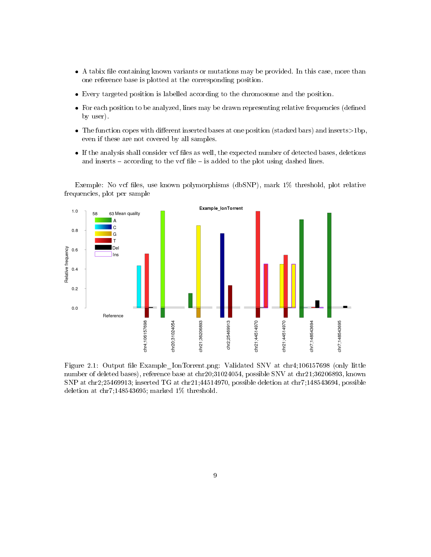- A tabix file containing known variants or mutations may be provided. In this case, more than one reference base is plotted at the corresponding position.
- Every targeted position is labelled according to the chromosome and the position.
- For each position to be analyzed, lines may be drawn representing relative frequencies (defined by user).
- The function copes with different inserted bases at one position (stacked bars) and inserts $>1$ bp, even if these are not covered by all samples.
- If the analysis shall consider vcf files as well, the expected number of detected bases, deletions and inserts  $-\text{according to the vcf file} - \text{is added to the plot using dashed lines.}$

Exemple: No vcf les, use known polymorphisms (dbSNP), mark 1% threshold, plot relative frequencies, plot per sample



Figure 2.1: Output file Example IonTorrent.png: Validated SNV at chr4;106157698 (only little number of deleted bases), reference base at chr20;31024054, possible SNV at chr21;36206893, known SNP at chr2;25469913; inserted TG at chr21;44514970, possible deletion at chr7;148543694, possible deletion at chr7;148543695; marked 1% threshold.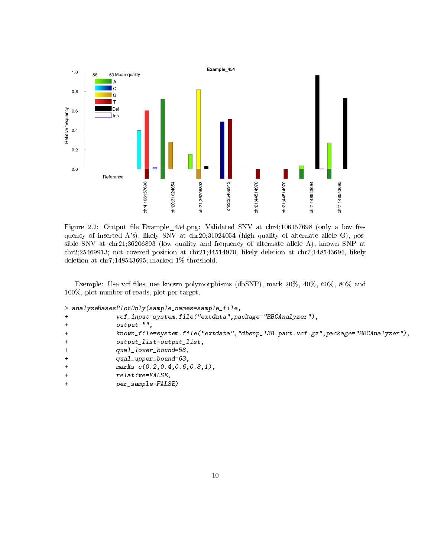

Figure 2.2: Output file Example\_454.png: Validated SNV at chr4;106157698 (only a low frequency of inserted A's), likely SNV at chr20;31024054 (high quality of alternate allele G), possible SNV at chr21;36206893 (low quality and frequency of alternate allele A), known SNP at chr2;25469913; not covered position at chr21;44514970, likely deletion at chr7;148543694, likely deletion at chr7;148543695; marked 1% threshold.

Exemple: Use vcf files, use known polymorphisms (dbSNP), mark  $20\%$ ,  $40\%$ ,  $60\%$ ,  $80\%$  and 100%, plot number of reads, plot per target.

```
> analyzeBasesPlotOnly(sample_names=sample_file,
```

```
+ vcf_input=system.file("extdata",package="BBCAnalyzer"),
```

```
+ output="",
```

```
+ known_file=system.file("extdata","dbsnp_138.part.vcf.gz",package="BBCAnalyzer"),
```

```
+ output_list=output_list,
```

```
+ qual_lower_bound=58,
```

```
+ qual_upper_bound=63,
```

```
+ marks=c(0.2,0.4,0.6,0.8,1),
```

```
+ relative=FALSE,
```

```
per_sample=FALSE)
```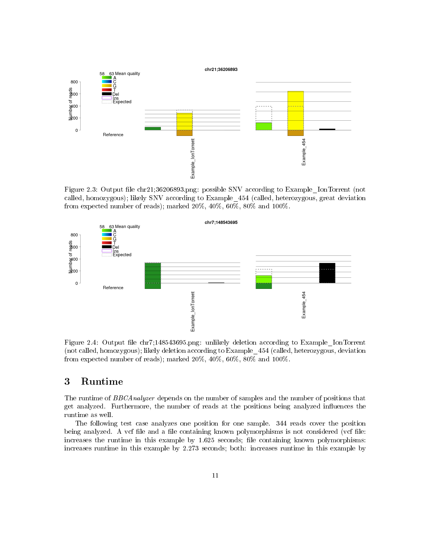

Figure 2.3: Output file chr21;36206893.png: possible SNV according to Example IonTorrent (not called, homozygous); likely SNV according to Example\_454 (called, heterozygous, great deviation from expected number of reads); marked 20%, 40%, 60%, 80% and 100%.



Figure 2.4: Output file chr7;148543695.png: unlikely deletion according to Example IonTorrent (not called, homozygous); likely deletion according to Example\_454 (called, heterozygous, deviation from expected number of reads); marked 20%, 40%, 60%, 80% and 100%.

# 3 Runtime

The runtime of BBCAnalyzer depends on the number of samples and the number of positions that get analyzed. Furthermore, the number of reads at the positions being analyzed influences the runtime as well.

The following test case analyzes one position for one sample. 344 reads cover the position being analyzed. A vcf file and a file containing known polymorphisms is not considered (vcf file: increases the runtime in this example by  $1.625$  seconds; file containing known polymorphisms: increases runtime in this example by 2.273 seconds; both: increases runtime in this example by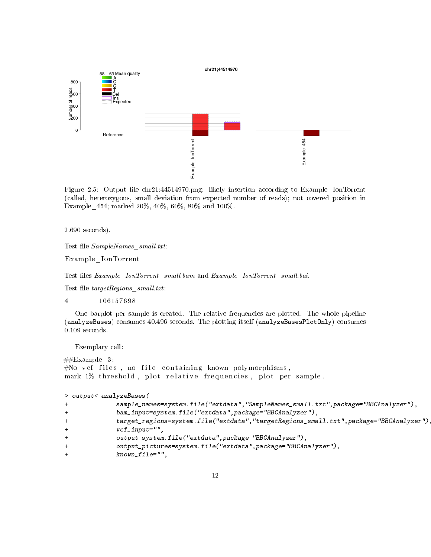

Figure 2.5: Output file chr21;44514970.png: likely insertion according to Example IonTorrent (called, heterozygous, small deviation from expected number of reads); not covered position in Example\_454; marked 20%, 40%, 60%, 80% and 100%.

2.690 seconds).

Test file SampleNames small.txt:

Example\_IonTorrent

Test files Example IonTorrent small.bam and Example IonTorrent small.bai.

Test file  $targetRegions$ \_small.txt:

4 106157698

One barplot per sample is created. The relative frequencies are plotted. The whole pipeline (analyzeBases) consumes 40.496 seconds. The plotting itself (analyzeBasesPlotOnly) consumes 0.109 seconds.

Exemplary call:

```
\#Example 3:
\#\! {\rm No\;\;vef\;\; files\; ,\; no\;\; file\; containing\; known\; polymorphisms\, },mark 1% threshold, plot relative frequencies, plot per sample.
```
> output<-analyzeBases(

```
+ sample_names=system.file("extdata","SampleNames_small.txt",package="BBCAnalyzer"),
+ bam_input=system.file("extdata",package="BBCAnalyzer"),
+ target_regions=system.file("extdata","targetRegions_small.txt",package="BBCAnalyzer"),
            vcf\_input=",
            output=system.file("extdata",package="BBCAnalyzer"),
            output_pictures=system.file("extdata",package="BBCAnalyzer"),
            known_file=",
```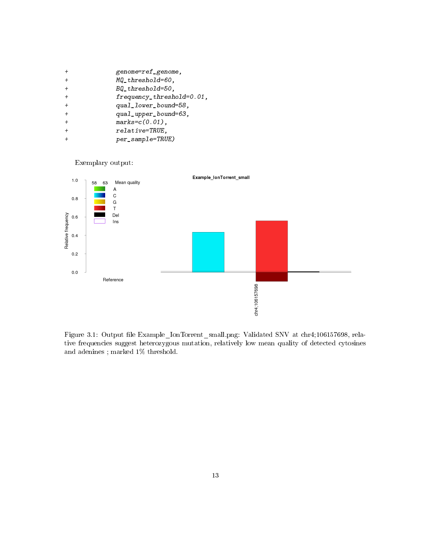| $+$ | genome=ref_genome,                        |
|-----|-------------------------------------------|
| $+$ | MQ threshold=60,                          |
| $+$ | $BQ_{t}$ threshold=50,                    |
| $+$ | $frequency_{th}$ requency threshold=0.01, |
| $+$ | qual_lower_bound=58,                      |
| $+$ | qual_upper_bound=63,                      |
| $+$ | $marks = c(0.01)$ ,                       |
| $+$ | relative=TRUE,                            |
|     | $per\_sample=TRUE)$                       |

# Exemplary output:



Figure 3.1: Output file Example\_IonTorrent\_small.png: Validated SNV at chr4;106157698, relative frequencies suggest heterozygous mutation, relatively low mean quality of detected cytosines and adenines ; marked 1% threshold.